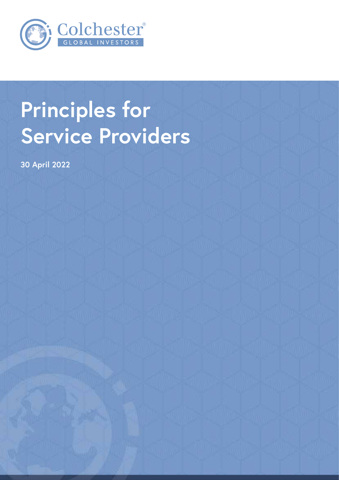

# **Principles for Service Providers**

**30 April 2022**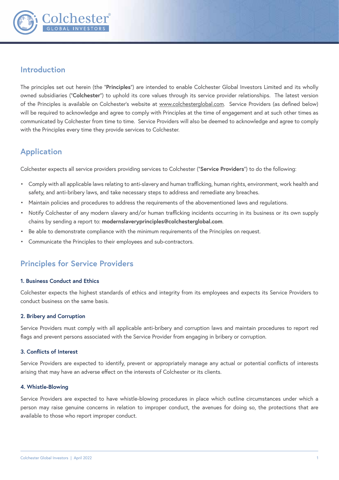

## **Introduction**

The principles set out herein (the "**Principles**") are intended to enable Colchester Global Investors Limited and its wholly owned subsidiaries ("**Colchester**") to uphold its core values through its service provider relationships. The latest version of the Principles is available on Colchester's website at www.colchesterglobal.com. Service Providers (as defined below) will be required to acknowledge and agree to comply with Principles at the time of engagement and at such other times as communicated by Colchester from time to time. Service Providers will also be deemed to acknowledge and agree to comply with the Principles every time they provide services to Colchester.

## **Application**

Colchester expects all service providers providing services to Colchester ("**Service Providers**") to do the following:

- Comply with all applicable laws relating to anti-slavery and human trafficking, human rights, environment, work health and safety, and anti-bribery laws, and take necessary steps to address and remediate any breaches.
- Maintain policies and procedures to address the requirements of the abovementioned laws and regulations.
- Notify Colchester of any modern slavery and/or human trafficking incidents occurring in its business or its own supply chains by sending a report to: **modernslaveryprinciples@colchesterglobal.com**.
- Be able to demonstrate compliance with the minimum requirements of the Principles on request.
- Communicate the Principles to their employees and sub-contractors.

## **Principles for Service Providers**

#### **1. Business Conduct and Ethics**

Colchester expects the highest standards of ethics and integrity from its employees and expects its Service Providers to conduct business on the same basis.

#### **2. Bribery and Corruption**

Service Providers must comply with all applicable anti-bribery and corruption laws and maintain procedures to report red flags and prevent persons associated with the Service Provider from engaging in bribery or corruption.

#### **3. Conflicts of Interest**

Service Providers are expected to identify, prevent or appropriately manage any actual or potential conflicts of interests arising that may have an adverse effect on the interests of Colchester or its clients.

#### **4. Whistle-Blowing**

Service Providers are expected to have whistle-blowing procedures in place which outline circumstances under which a person may raise genuine concerns in relation to improper conduct, the avenues for doing so, the protections that are available to those who report improper conduct.